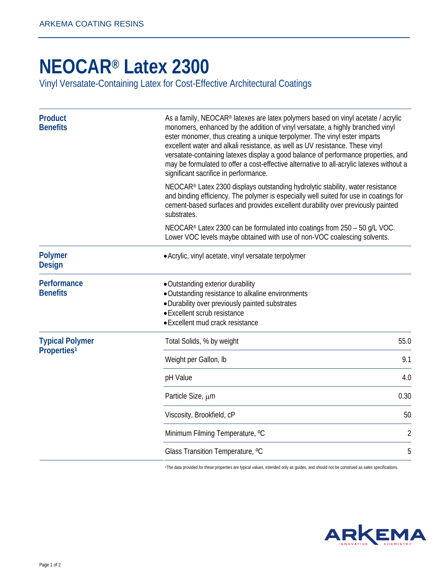## **[NEOCAR® Latex 2300](http://www.arkemacoatingresins.com/en/)**

Vinyl Versatate-Containing Latex for Cost-Effective Architectural Coatings

| <b>Product</b><br><b>Benefits</b>                 | As a family, NEOCAR® latexes are latex polymers based on vinyl acetate / acrylic<br>monomers, enhanced by the addition of vinyl versatate, a highly branched vinyl<br>ester monomer, thus creating a unique terpolymer. The vinyl ester imparts<br>excellent water and alkali resistance, as well as UV resistance. These vinyl<br>versatate-containing latexes display a good balance of performance properties, and<br>may be formulated to offer a cost-effective alternative to all-acrylic latexes without a<br>significant sacrifice in performance. |                |
|---------------------------------------------------|------------------------------------------------------------------------------------------------------------------------------------------------------------------------------------------------------------------------------------------------------------------------------------------------------------------------------------------------------------------------------------------------------------------------------------------------------------------------------------------------------------------------------------------------------------|----------------|
|                                                   | NEOCAR® Latex 2300 displays outstanding hydrolytic stability, water resistance<br>and binding efficiency. The polymer is especially well suited for use in coatings for<br>cement-based surfaces and provides excellent durability over previously painted<br>substrates.                                                                                                                                                                                                                                                                                  |                |
|                                                   | NEOCAR® Latex 2300 can be formulated into coatings from 250 - 50 g/L VOC.<br>Lower VOC levels maybe obtained with use of non-VOC coalescing solvents.                                                                                                                                                                                                                                                                                                                                                                                                      |                |
| <b>Polymer</b><br><b>Design</b>                   | • Acrylic, vinyl acetate, vinyl versatate terpolymer                                                                                                                                                                                                                                                                                                                                                                                                                                                                                                       |                |
| Performance<br><b>Benefits</b>                    | • Outstanding exterior durability<br>• Outstanding resistance to alkaline environments<br>· Durability over previously painted substrates<br>• Excellent scrub resistance<br>• Excellent mud crack resistance                                                                                                                                                                                                                                                                                                                                              |                |
| <b>Typical Polymer</b><br>Properties <sup>1</sup> | Total Solids, % by weight                                                                                                                                                                                                                                                                                                                                                                                                                                                                                                                                  | 55.0           |
|                                                   | Weight per Gallon, Ib                                                                                                                                                                                                                                                                                                                                                                                                                                                                                                                                      | 9.1            |
|                                                   | pH Value                                                                                                                                                                                                                                                                                                                                                                                                                                                                                                                                                   | 4.0            |
|                                                   | Particle Size, µm                                                                                                                                                                                                                                                                                                                                                                                                                                                                                                                                          | 0.30           |
|                                                   | Viscosity, Brookfield, cP                                                                                                                                                                                                                                                                                                                                                                                                                                                                                                                                  | 50             |
|                                                   | Minimum Filming Temperature, °C                                                                                                                                                                                                                                                                                                                                                                                                                                                                                                                            | $\overline{2}$ |
|                                                   | Glass Transition Temperature, °C                                                                                                                                                                                                                                                                                                                                                                                                                                                                                                                           | 5              |

1The data provided for these properties are typical values, intended only as guides, and should not be construed as sales specifications.